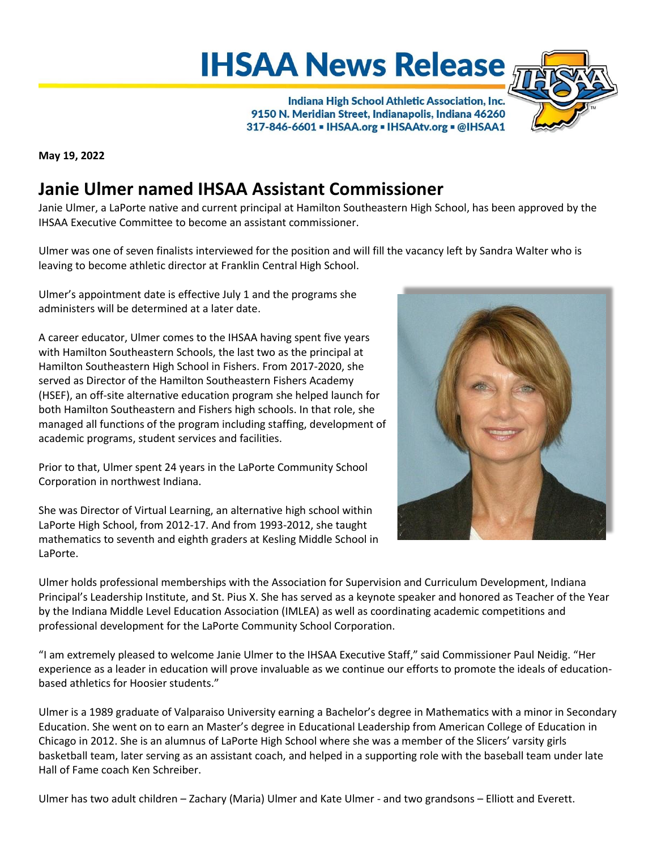## **IHSAA News Release**

Indiana High School Athletic Association, Inc. 9150 N. Meridian Street, Indianapolis, Indiana 46260 317-846-6601 - IHSAA.org - IHSAAtv.org - @IHSAA1



**May 19, 2022**

## **Janie Ulmer named IHSAA Assistant Commissioner**

Janie Ulmer, a LaPorte native and current principal at Hamilton Southeastern High School, has been approved by the IHSAA Executive Committee to become an assistant commissioner.

Ulmer was one of seven finalists interviewed for the position and will fill the vacancy left by Sandra Walter who is leaving to become athletic director at Franklin Central High School.

Ulmer's appointment date is effective July 1 and the programs she administers will be determined at a later date.

A career educator, Ulmer comes to the IHSAA having spent five years with Hamilton Southeastern Schools, the last two as the principal at Hamilton Southeastern High School in Fishers. From 2017-2020, she served as Director of the Hamilton Southeastern Fishers Academy (HSEF), an off-site alternative education program she helped launch for both Hamilton Southeastern and Fishers high schools. In that role, she managed all functions of the program including staffing, development of academic programs, student services and facilities.

Prior to that, Ulmer spent 24 years in the LaPorte Community School Corporation in northwest Indiana.

She was Director of Virtual Learning, an alternative high school within LaPorte High School, from 2012-17. And from 1993-2012, she taught mathematics to seventh and eighth graders at Kesling Middle School in LaPorte.

Ulmer holds professional memberships with the Association for Supervision and Curriculum Development, Indiana Principal's Leadership Institute, and St. Pius X. She has served as a keynote speaker and honored as Teacher of the Year by the Indiana Middle Level Education Association (IMLEA) as well as coordinating academic competitions and professional development for the LaPorte Community School Corporation.

"I am extremely pleased to welcome Janie Ulmer to the IHSAA Executive Staff," said Commissioner Paul Neidig. "Her experience as a leader in education will prove invaluable as we continue our efforts to promote the ideals of educationbased athletics for Hoosier students."

Ulmer is a 1989 graduate of Valparaiso University earning a Bachelor's degree in Mathematics with a minor in Secondary Education. She went on to earn an Master's degree in Educational Leadership from American College of Education in Chicago in 2012. She is an alumnus of LaPorte High School where she was a member of the Slicers' varsity girls basketball team, later serving as an assistant coach, and helped in a supporting role with the baseball team under late Hall of Fame coach Ken Schreiber.

Ulmer has two adult children – Zachary (Maria) Ulmer and Kate Ulmer - and two grandsons – Elliott and Everett.